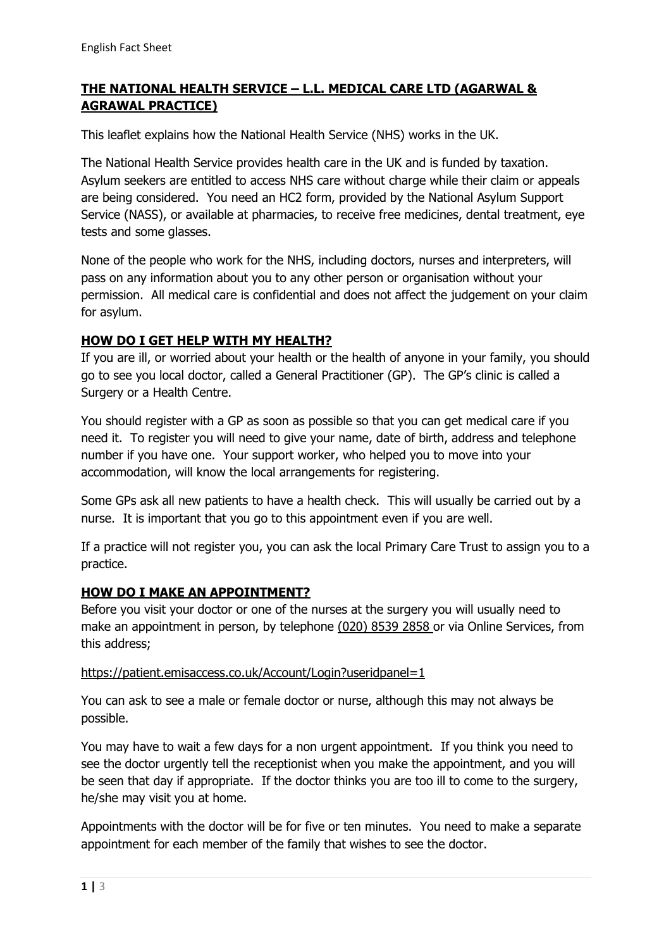# **THE NATIONAL HEALTH SERVICE – L.L. MEDICAL CARE LTD (AGARWAL & AGRAWAL PRACTICE)**

This leaflet explains how the National Health Service (NHS) works in the UK.

The National Health Service provides health care in the UK and is funded by taxation. Asylum seekers are entitled to access NHS care without charge while their claim or appeals are being considered. You need an HC2 form, provided by the National Asylum Support Service (NASS), or available at pharmacies, to receive free medicines, dental treatment, eye tests and some glasses.

None of the people who work for the NHS, including doctors, nurses and interpreters, will pass on any information about you to any other person or organisation without your permission. All medical care is confidential and does not affect the judgement on your claim for asylum.

## **HOW DO I GET HELP WITH MY HEALTH?**

If you are ill, or worried about your health or the health of anyone in your family, you should go to see you local doctor, called a General Practitioner (GP). The GP's clinic is called a Surgery or a Health Centre.

You should register with a GP as soon as possible so that you can get medical care if you need it. To register you will need to give your name, date of birth, address and telephone number if you have one. Your support worker, who helped you to move into your accommodation, will know the local arrangements for registering.

Some GPs ask all new patients to have a health check. This will usually be carried out by a nurse. It is important that you go to this appointment even if you are well.

If a practice will not register you, you can ask the local Primary Care Trust to assign you to a practice.

## **HOW DO I MAKE AN APPOINTMENT?**

Before you visit your doctor or one of the nurses at the surgery you will usually need to make an appointment in person, by telephone (020) 8539 2858 or via Online Services, from this address;

#### https://patient.emisaccess.co.uk/Account/Login?useridpanel=1

You can ask to see a male or female doctor or nurse, although this may not always be possible.

You may have to wait a few days for a non urgent appointment. If you think you need to see the doctor urgently tell the receptionist when you make the appointment, and you will be seen that day if appropriate. If the doctor thinks you are too ill to come to the surgery, he/she may visit you at home.

Appointments with the doctor will be for five or ten minutes. You need to make a separate appointment for each member of the family that wishes to see the doctor.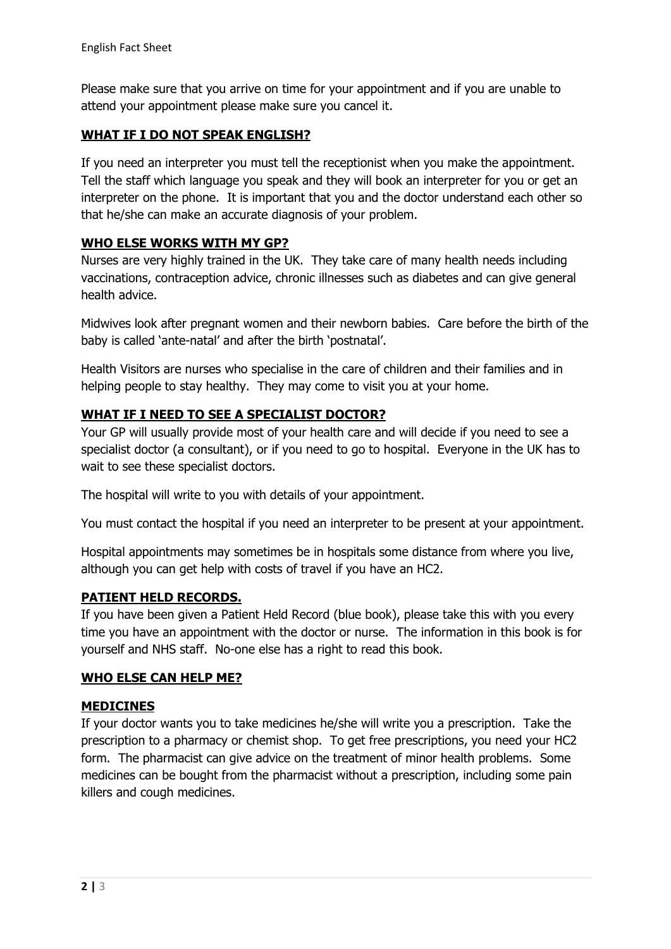Please make sure that you arrive on time for your appointment and if you are unable to attend your appointment please make sure you cancel it.

## **WHAT IF I DO NOT SPEAK ENGLISH?**

If you need an interpreter you must tell the receptionist when you make the appointment. Tell the staff which language you speak and they will book an interpreter for you or get an interpreter on the phone. It is important that you and the doctor understand each other so that he/she can make an accurate diagnosis of your problem.

## **WHO ELSE WORKS WITH MY GP?**

Nurses are very highly trained in the UK. They take care of many health needs including vaccinations, contraception advice, chronic illnesses such as diabetes and can give general health advice.

Midwives look after pregnant women and their newborn babies. Care before the birth of the baby is called 'ante-natal' and after the birth 'postnatal'.

Health Visitors are nurses who specialise in the care of children and their families and in helping people to stay healthy. They may come to visit you at your home.

## **WHAT IF I NEED TO SEE A SPECIALIST DOCTOR?**

Your GP will usually provide most of your health care and will decide if you need to see a specialist doctor (a consultant), or if you need to go to hospital. Everyone in the UK has to wait to see these specialist doctors.

The hospital will write to you with details of your appointment.

You must contact the hospital if you need an interpreter to be present at your appointment.

Hospital appointments may sometimes be in hospitals some distance from where you live, although you can get help with costs of travel if you have an HC2.

#### **PATIENT HELD RECORDS.**

If you have been given a Patient Held Record (blue book), please take this with you every time you have an appointment with the doctor or nurse. The information in this book is for yourself and NHS staff. No-one else has a right to read this book.

#### **WHO ELSE CAN HELP ME?**

#### **MEDICINES**

If your doctor wants you to take medicines he/she will write you a prescription. Take the prescription to a pharmacy or chemist shop. To get free prescriptions, you need your HC2 form. The pharmacist can give advice on the treatment of minor health problems. Some medicines can be bought from the pharmacist without a prescription, including some pain killers and cough medicines.